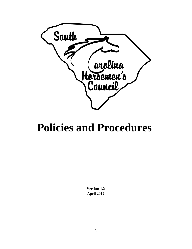

# **Policies and Procedures**

**Version 1.2 April 2019**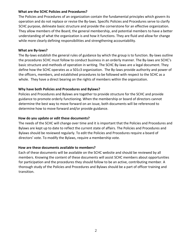#### **What are the SCHC Policies and Procedures?**

The Policies and Procedures of an organization contain the fundamental principles which govern its operation and do not replace or revise the By-laws. Specific Policies and Procedures serve to clarify SCHC purpose, delineate basic structure and provide the cornerstone for an effective organization. They allow members of the Board, the general membership, and potential members to have a better understanding of what the organization is and how it functions. They are fluid and allow for change while more clearly defining responsibilities and strengthening accountability.

#### **What are By-laws?**

The By-laws establish the general rules of guidance by which the group is to function. By-laws outline the procedures SCHC must follow to conduct business in an orderly manner. The By-laws are SCHC's basic structure and methods of operation in writing. The SCHC By-laws are a legal document. They define how the SCHC operates as a 501c3 organization. The By-laws provide authority and power of the officers, members, and established procedures to be followed with respect to the SCHC as a whole. They have a direct bearing on the rights of members within the organization.

#### **Why have both Policies and Procedures and Bylaws?**

Policies and Procedures and Bylaws are together to provide structure for the SCHC and provide guidance to promote orderly functioning. When the membership or board of directors cannot determine the best way to move forward on an issue, both documents will be referenced to determine how to move forward and/or provide guidance.

#### **How do you update or edit these documents?**

The needs of the SCHC will change over time and it is important that the Policies and Procedures and Bylaws are kept up to date to reflect the current state of affairs. The Policies and Procedures and Bylaws should be reviewed regularly. To edit the Policies and Procedures require a board of directors' vote. To modify the Bylaws, require a membership vote.

#### **How are these documents available to members?**

Each of these documents will be available on the SCHC website and should be reviewed by all members. Knowing the content of these documents will assist SCHC members about opportunities for participation and the procedures they should follow to be an active, contributing member. A thorough study of the Policies and Procedures and Bylaws should be a part of officer training and transition.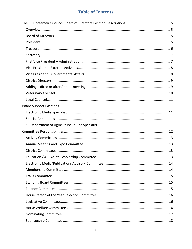# **Table of Contents**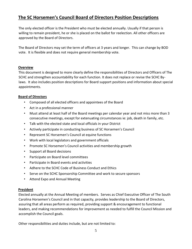# <span id="page-4-0"></span>**The SC Horsemen's Council Board of Directors Position Descriptions**

The only elected officer is the President who must be elected annually. Usually if that person is willing to remain president, he or she is placed on the ballot for reelection. All other officers are approved by the Board of Directors.

The Board of Directors may set the term of officers at 3 years and longer. This can change by BOD vote. It is flexible and does not require general membership vote.

#### <span id="page-4-1"></span>**Overview**

This document is designed to more clearly define the responsibilities of Directors and Officers of The SCHC and strengthen accountability for each function. It does not replace or revise the SCHC Bylaws. It also includes position descriptions for Board support positions and information about special appointments.

#### <span id="page-4-2"></span>**Board of Directors**

- Composed of all elected officers and appointees of the Board
- Act in a professional manner
- Must attend at least half of the Board meetings per calendar year and not miss more than 3 consecutive meetings, except for extenuating circumstances ie: job, death in family, etc.
- Talk with the elected state and local officials in your District
- Actively participate in conducting business of SC Horsemen's Council
- Represent SC Horsemen's Council at equine functions
- Work with local legislators and government officials
- Promote SC Horsemen's Council activities and membership growth
- Support all Board decisions
- Participate on Board level committees
- Participate in Board events and activities
- Adhere to the SCHC Code of Business Conduct and Ethics
- Serve on the SCHC Sponsorship Committee and work to secure sponsors
- Attend Expo and Annual Meeting

#### <span id="page-4-3"></span>**President**

Elected annually at the Annual Meeting of members. Serves as Chief Executive Officer of The South Carolina Horsemen's Council and in that capacity, provides leadership to the Board of Directors, assuring that all areas perform as required, providing support & encouragement to functional leaders, and making recommendations for improvement as needed to fulfill the Council Mission and accomplish the Council goals.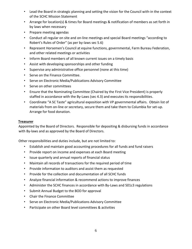- Lead the Board in strategic planning and setting the vision for the Council with-in the context of the SCHC Mission Statement
- Arrange for location(s) & times for Board meetings & notification of members as set forth in by laws when necessary
- Prepare meeting agendas
- Conduct all regular on site and on-line meetings and special Board meetings "according to Robert's Rules of Order" (as per by-laws sec 5.6)
- Represent Horsemen's Council at equine functions, governmental, Farm Bureau Federation, and other related meetings or activities
- Inform Board members of all known current issues on a timely basis
- Assist with developing sponsorships and other funding
- Supervise any administrative office personnel (none at this time)
- Serve on the Finance Committee.
- Serve on Electronic Media/Publications Advisory Committee
- Serve on other committees
- Ensure that the Nominating Committee (Chaired by the First Vice President) is properly staffed in accordance with the By-Laws (sec 4.3) and executes its responsibilities.
- Coordinate "A SC Taste" agricultural exposition with VP governmental affairs. Obtain list of materials from on-line or secretary, secure them and take them to Columbia for set-up. Arrange for food donation.

#### <span id="page-5-0"></span>**Treasurer**

Appointed by the Board of Directors. Responsible for depositing & disbursing funds in accordance with By-laws and as approved by the Board of Directors.

- Establish and maintain good accounting procedures for all funds and fund raisers
- Provide report on income and expenses at each Board meeting
- Issue quarterly and annual reports of financial status
- Maintain all records of transactions for the required period of time
- Provide information to auditors and assist them as requested
- Provide for the collection and documentation of all SCHC funds
- Analyze financial information & recommend actions to improve finances
- Administer the SCHC finances in accordance with By-Laws and 501c3 regulations
- Submit Annual Budget to the BOD for approval
- Chair the Finance Committee
- Serve on Electronic Media/Publications Advisory Committee
- Participate on other Board level committees & activities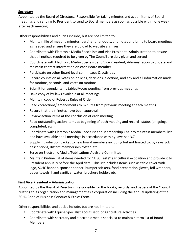#### <span id="page-6-0"></span>**Secretary**

Appointed by the Board of Directors. Responsible for taking minutes and action items of Board meetings and sending to President to send to Board members as soon as possible within one week after each meeting.

Other responsibilities and duties include, but are not limited to:

- Maintain file of meeting minutes, pertinent handouts, and notes and bring to board meetings as needed and ensure they are upload to website archives
- Coordinate with Electronic Media Specialists and Vice President- Administration to ensure that all notices required to be given by The Council are duly given and served
- Coordinate with Electronic Media Specialist and Vice President, Administration to update and maintain contact information on each Board member
- Participate on other Board level committees & activities
- Record counts on all votes on policies, decisions, elections, and any and all information made for motions, seconds, and votes on motions
- Submit for agenda items tabled/votes pending from previous meetings
- Have copy of by-laws available at all meetings
- Maintain copy of Robert's Rules of Order
- Read corrections/ amendments to minutes from previous meeting at each meeting.
- Record that the minutes have been approval
- Review action items at the conclusion of each meeting.
- Read outstanding action items at beginning of each meeting and record status (on going, completed, etc.)
- Coordinate with Electronic Media Specialist and Membership Chair to maintain members' list and have available at all meetings in accordance with by-laws sec 3.7
- Supply introduction packet to new board members including but not limited to: by-laws, job descriptions, district membership roster, etc.
- Serve on Electronic Media/Publications Advisory Committee
- Maintain 0n-line list of items needed for "A SC Taste" agricultural exposition and provide it to President annually before the April date. This list includes items such as table cover with logo, SCHC banner, sponsor banner, bumper stickers, food preparation gloves, foil wrappers, paper towels, hand sanitizer water, brochure holder, etc.

#### <span id="page-6-1"></span>**First Vice President – Administration**

Appointed by the Board of Directors. Responsible for the books, records, and papers of the Council relating to its organization and management as a corporation including the annual updating of the SCHC Code of Business Conduct & Ethics Form.

- Coordinate with Equine Specialist about Dept. of Agriculture activities
- Coordinate with secretary and electronic media specialist to maintain term list of Board Members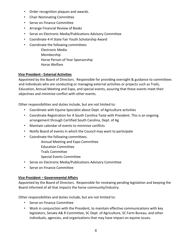- Order recognition plaques and awards.
- Chair Nominating Committee
- Serve on Finance Committee
- Arrange Financial Review of Books
- Serve on Electronic Media/Publications Advisory Committee
- Coordinate 4-H State Fair Youth Scholarship Award
- Coordinate the following committees
	- Electronic Media Membership Horse Person of Year Sponsorship Horse Welfare

#### <span id="page-7-0"></span>**Vice President - External Activities**

Appointed by the Board of Directors. Responsible for providing oversight & guidance to committees and individuals who are conducting or managing external activities or projects such as Trails, Education, Annual Meeting and Expo, and special events, assuring that these events meet their objectives and minimize conflict with other events.

Other responsibilities and duties include, but are not limited to:

- Coordinate with Equine Specialist about Dept. of Agriculture activities
- Coordinate Registration for A South Carolina Taste with President. This is an ongoing arrangement through Certified South Carolina, Dept. of Ag
- Maintain calendar of events to minimize conflicts
- Notify Board of events in which the Council may want to participate
- Coordinate the following committees.
	- Annual Meeting and Expo Committee
	- Education Committee
	- Trails Committee
	- Special Events Committee
- Serve on Electronic Media/Publications Advisory Committee
- Serve on Finance Committee

#### <span id="page-7-1"></span>**Vice President – Governmental Affairs**

Appointed by the Board of Directors. Responsible for reviewing pending legislation and keeping the Board informed of all that impacts the horse community/industry.

- Serve on Finance Committee
- Work in conjunction with the President, to maintain effective communications with key legislators, Senate A& R Committee, SC Dept. of Agriculture, SC Farm Bureau, and other individuals, agencies, and organizations that may have impact on equine issues.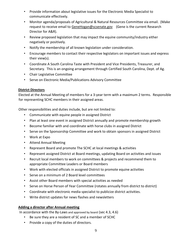- Provide information about legislative issues for the Electronic Media Specialist to communicate effectively.
- Monitor agenda/proposals of Agricultural & Natural Resources Committee via email. (Make request to receive email to GeneHogan@scsenate.gov (Gene is the current Research Director for A&R).
- Review proposed legislation that may impact the equine community/industry either negatively or positively.
- Notify the membership of all known legislation under consideration.
- Encourage members to contact their respective legislators on important issues and express their view(s).
- Coordinate A South Carolina Taste with President and Vice Presidents, Treasurer, and Secretary. This is an ongoing arrangement through Certified South Carolina, Dept. of Ag.
- Chair Legislative Committee
- Serve on Electronic Media/Publications Advisory Committee

#### <span id="page-8-0"></span>**District Directors**

Elected at the Annual Meeting of members for a 3-year term with a maximum 2 terms. Responsible for representing SCHC members in their assigned areas.

Other responsibilities and duties include, but are not limited to:

- Communicate with equine people in assigned District
- Plan at least one event in assigned District annually and promote membership growth
- Become familiar with and coordinate with horse clubs in assigned District
- Serve on the Sponsorship Committee and work to obtain sponsors in assigned District
- Work at Expo
- Attend Annual Meeting
- Represent Board and promote The SCHC at local meetings & activities
- Represent assigned District at Board meetings, updating Board on activities and issues
- Recruit local members to work on committees & projects and recommend them to appropriate Committee Leaders or Board members
- Work with elected officials in assigned District to promote equine activities
- Serve on a minimum of 2 Board level committees
- Assist other Board members with special activities as needed
- Serve on Horse Person of Year Committee (rotates annually from district to district)
- Coordinate with electronic media specialist to publicize district activities.
- Write district updates for news flashes and newsletters

#### <span id="page-8-1"></span>**Adding a director after Annual meeting**

In accordance with the By-Laws and approved by board (sec 4.3, 4.6)

- Be sure they are a resident of SC and a member of SCHC
- Provide a copy of the duties of directors.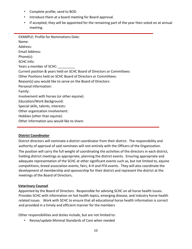- Complete profile; send to BOD.
- Introduce them at a board meeting for Board approval.
- If accepted; they will be appointed for the remaining part of the year then voted on at annual meeting.

EXAMPLE: Profile for Nominations Date: Name: Address: Email Address: Phone(s): SCHC Info: Years a member of SCHC: Current position & years held on SCHC Board of Directors or Committees: Other Positions held on SCHC Board of Directors or Committees: Reason(s) you would like to serve on the Board of Directors: Personal Information: Family: Involvement with horses (or other equine): Education/Work Background: Special skills, talents, interests: Other organization involvement: Hobbies (other than equine): Other information you would like to share:

#### **District Coordinator**

District directors will nominate a district coordinator from their district. The responsibility and authority of approval of said nominees will rest entirely with the Officers of the Organization. The position will carry the full weight of coordinating the activities of the directors in each district, holding district meetings as appropriate, planning the district events. Ensuring appropriate and adequate representation of the SCHC at other significant events such as, but not limited to, equine competitions, breed association events, fairs, 4-H and FFA events. They will also coordinate the development of membership and sponsorship for their district and represent the district at the meetings of the Board of Directors**.**

#### <span id="page-9-0"></span>**Veterinary Counsel**

Appointed by the Board of Directors. Responsible for advising SCHC on all horse health issues. Provides SCHC with information on hot health topics, emerging disease, and industry horse health related issues. Work with SCHC to ensure that all educational horse health information is correct and provided in a timely and efficient manner for the members

Other responsibilities and duties include, but are not limited to:

• Revise/update Minimal Standards of Care when needed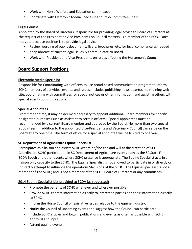- Work with Horse Welfare and Education committees
- Coordinate with Electronic Media Specialist and Expo Committee Chair

## <span id="page-10-0"></span>**Legal Counsel**

Appointed by the Board of Directors Responsible for providing legal advice to Board of Directors at the request of the President or Vice Presidents on Council matters. Is a member of the BOD. Does not vote because position is to provide legal advice.

- Review wording of public documents, flyers, brochures, etc. for legal compliance as needed
- Keep abreast of current legal issues & communicate to Board
- Work with President and Vice-Presidents on issues affecting the Horsemen's Council

# <span id="page-10-1"></span>**Board Support Positions**

## <span id="page-10-2"></span>**Electronic Media Specialist**

Responsible for Coordinating with officers to use broad based communication program to inform SCHC members of activities, events, and issues. Includes publishing newsletter(s), maintaining web site, coordinating with committees for special notices or other information, and assisting others with special events communications.

#### <span id="page-10-3"></span>**Special Appointees**

From time to time, it may be deemed necessary to appoint additional Board members for specific designated purposes (such as assistant to certain officers). Special appointees must be recommended by a current Board member and approved by the Board. No more than two special appointees (in addition to the appointed Vice-Presidents and Veterinary Council) can serve on the Board at any one time. The term of office for a special appointee will be limited to one year.

## <span id="page-10-4"></span>**SC Department of Agriculture Equine Specialist**

Participates as a liaison and assists SCHC where he/she can and will at the direction of SCHC. Coordinates SCHC participation in SC Department of Agriculture events such as the SC State Fair SCDA Booth and other events where SCHC presence is appropriate. The Equine Specialist acts in a **liaison only** capacity to the SCHC. The Equine Specialist is not allowed to participate in or directly or indirectly attempt to influence the operations/decisions of the SCHC. The Equine Specialist is not a member of The SCHC; and is not a member of the SCHC Board of Directors or any committees.

## 2014 Equine Specialist List provided to SCDA (as requested)

- Promote the benefits of SCHC whenever and wherever possible.
- Provide SCHC contact information directly to interested parties and their information directly to SCHC.
- Inform the Horse Council of legislative issues relative to the equine industry.
- Notify the Council of upcoming events and suggest how the Council can participate.
- Include SCHC articles and logo in publications and events as often as possible with SCHC approval and input.
- Attend equine events.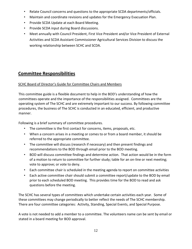- Relate Council concerns and questions to the appropriate SCDA departments/officials.
- Maintain and coordinate revisions and updates for the Emergency Evacuation Plan.
- Provide SCDA Update at each Board Meeting.
- Provide SCDA input during Board discussions.
- Meet annually with Council President, First Vice President and/or Vice President of External Activities and SCDA Assistant Commissioner Agricultural Services Division to discuss the working relationship between SCHC and SCDA.

# <span id="page-11-0"></span>**Committee Responsibilities**

#### SCHC Board of Director's Guide for Committee Chairs and Members

This committee guide is a flexible document to help in the BOD's understanding of how the committees operate and the importance of the responsibilities assigned. Committees are the operating system of The SCHC and are extremely important to our success. By following committee procedures, the business of The SCHC is conducted in an educated, efficient, and productive manner.

Following is a brief summary of committee procedures.

- The committee is the first contact for concerns, items, proposals, etc.
- When a concern arises in a meeting or comes to or from a board member, it should be referred to the appropriate committee.
- The committee will discuss (research if necessary) and then present findings and recommendations to the BOD through email prior to the BOD meeting.
- BOD will discuss committee findings and determine action. That action would be in the form of a motion to return to committee for further study; table for an on-line or next meeting; vote to approve; or vote to deny.
- Each committee chair is scheduled in the meeting agenda to report on committee activities
- Each active committee chair should submit a committee report/update to the BOD by email prior to each scheduled BOD meeting. This provides time for the BOD to read and ask questions before the meeting.

The SCHC has several types of committees which undertake certain activities each year. Some of these committees may change periodically to better reflect the needs of The SCHC membership. There are four committee categories: Activity, Standing, Special Events, and Special Purpose.

A vote is not needed to add a member to a committee. The volunteers name can be sent by email or stated in a board meeting for BOD approval.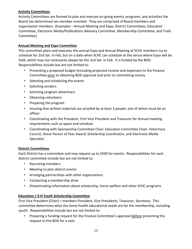#### <span id="page-12-0"></span>**Activity Committees**

Activity Committees are formed to plan and execute on-going events, programs, and activities the Board has determined are member oriented. They are comprised of Board members and organization members. (Examples---Annual Meeting and Expo, District Committees, Education Committee, Electronic Media/Publications Advisory Committee, Membership Committee, and Trails Committee)

#### <span id="page-12-1"></span>**Annual Meeting and Expo Committee**

This committee plans and executes the annual Expo and Annual Meeting of SCHC members try to schedule for 2nd Sat. in Feb, but on a date when SCHC can schedule at the venue where Expo will be held, which may not necessarily always be the 2nd Sat. in Feb. It is funded by the BOD. Responsibilities include but are not limited to:

- Presenting a proposed budget (including projected income and expenses) to the Finance Committee prior to obtaining BOD approval and prior to committing money
- Selecting and scheduling the events
- Soliciting vendors
- Soliciting program advertisers
- Obtaining volunteers
- Preparing the program
- Insuring that written materials are proofed by at least 3 people, one of whom must be an officer.
- Coordinating with the President, First Vice President and Treasurer for Annual meeting requirements such as space and schedule
- Coordinating with Sponsorship Committee Chair; Education Committee Chair; Veterinary Council; Horse Person of Year Award; Scholarship Coordinator, and Electronic Media Specialist.

#### <span id="page-12-2"></span>**District Committees**

Each District has a committee and may request up to \$500 for events. Responsibilities for each district committee include but are not limited to:

- Recruiting members
- Meeting to plan district events
- Arranging partnerships with other organizations
- Conducting a membership drive
- Disseminating information about scholarship, horse welfare and other SCHC programs

#### <span id="page-12-3"></span>**Education / 4-H Youth Scholarship Committee**

First Vice President (Chair)—members President, Vice Presidents, Treasurer, Secretary: This committee determines what the horse health educational needs are for the membership, including youth. Responsibilities include but are not limited to:

• Preparing a funding request for the Finance Committee's approval before presenting the request to the BOD for a vote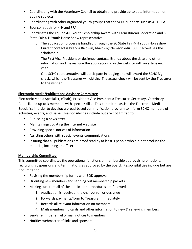- Coordinating with the Veterinary Council to obtain and provide up to date information on equine subjects
- Coordinating with other organized youth groups that the SCHC supports such as 4-H, FFA
- Sponsor youth for 4-H and FFA
- Coordinates the Equine 4-H Youth Scholarship Award with Farm Bureau Federation and SC State Fair 4-H Youth Horse Show representative.
	- $\circ$  The application process is handled through the SC State Fair 4-H Youth Horseshow. Current contact is Brenda Baldwin, bbaldwi@clemson.edu SCHC advertises the scholarship.
	- o The First Vice President or designee contacts Brenda about the date and other information and makes sure the application is on the website with an article each year.
	- $\circ$  One SCHC representative will participate in judging and will award the SCHC Big check, which the Treasurer will obtain. The actual check will be sent by the Treasurer to the winner.

#### <span id="page-13-0"></span>**Electronic Media/Publications Advisory Committee**

Electronic Media Specialist, (Chair); President; Vice Presidents; Treasurer, Secretary, Veterinary Council, and up to 3 members with special skills. This committee assists the Electronic Media Specialist in order to develop a broad-based communication program to inform SCHC members of activities, events, and issues. Responsibilities include but are not limited to:

- Publishing a newsletter
- Maintaining/updating the internet web site
- Providing special notices of information
- Assisting others with special events communications
- Insuring that all publications are proof read by at least 3 people who did not produce the material, including an officer

#### <span id="page-13-1"></span>**Membership Committee**

This committee coordinates the operational functions of membership approvals, promotions, recruiting, suspensions and terminations as approved by the Board. Responsibilities include but are not limited to:

- Revising the membership forms with BOD approval
- Orienting new members and sending out membership packets
- Making sure that all of the application procedures are followed-
	- 1. Application is received, the chairperson or designee
	- 2. Forwards payments/form to Treasurer immediately
	- 3. Records all relevant information on members
	- 4. Mails membership cards and other information to new & renewing members
- Sends reminder email or mail notices to members
- Notifies webmaster of links and sponsors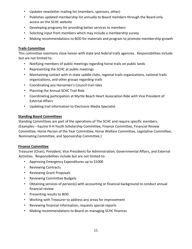- Updates newsletter mailing list (members, sponsors, other)
- Publishes updated membership list annually to Board members through the Board only access on the SCHC website
- Developing programs for providing better services to members
- Soliciting input from members which may include a membership survey
- Making recommendations to BOD for materials and program to promote membership growth

#### <span id="page-14-0"></span>**Trails Committee**

This committee maintains close liaison with state and federal trails agencies. Responsibilities include but are not limited to:

- Notifying members of public meetings regarding horse trails on public lands
- Representing the SCHC at public meetings
- Maintaining contact with in-state saddle clubs, regional trails organizations, national trails organizations, and other groups regarding trails
- Coordinating any Horsemen's Council trail rides
- Planning the Annual SCHC Trail Ride
- Coordinating participation at Myrtle Beach Heart Association Ride with Vice President of External Affairs
- Updating trail information to Electronic Media Specialist

#### <span id="page-14-1"></span>**Standing Board Committees**

Standing Committees are part of the operations of The SCHC and require specific members. (Examples---Equine 4-H Youth Scholarship Committee, Finance Committee, Financial Review Committee, Horse Person of the Year Committee, Horse Welfare Committee, Legislative Committee, Nominating Committee, and Sponsorship Committee.)

#### <span id="page-14-2"></span>**Finance Committee**

Treasurer (Chair), President, Vice Presidents for Administration, Governmental Affairs, and External Activities. Responsibilities include but are not limited to:

- Approving Emergency Expenditures up to \$1000
- Reviewing Contracts
- Reviewing Grant Proposals
- Reviewing Committee Budgets
- Obtaining services of person(s) with accounting or financial background to conduct annual financial review
- Presenting results to BOD
- Working with Treasurer to address any areas for improvement
- Reviewing financial information; requests special reports
- Making recommendations to Board on managing SCHC finances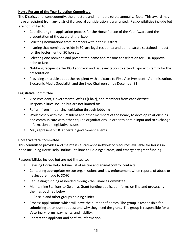#### <span id="page-15-0"></span>**Horse Person of the Year Selection Committee**

The District, and, consequently, the directors and members rotate annually. Note: This award may have a recipient from any district if a special consideration is warranted. Responsibilities include but are not limited to:

- Coordinating the application process for the Horse Person of the Year Award and the presentation of the award at the Expo
- Soliciting nominations from members within their District
- Insuring that nominees reside in SC; are legal residents; and demonstrate sustained impact for the betterment of SC horses.
- Selecting one nominee and present the name and reasons for selection for BOD approval prior to Dec.
- Notifying recipient after BOD approval and issue invitation to attend Expo with family for the presentation.
- Providing an article about the recipient with a picture to First Vice President –Administration, Electronic Media Specialist, and the Expo Chairperson by December 31

#### <span id="page-15-1"></span>**Legislative Committee**

- Vice President, Governmental Affairs (Chair), and members from each district: Responsibilities include but are not limited to:
- Refrain from influencing legislation through lobbying
- Work closely with the President and other members of the Board, to develop relationships and communicate with other equine organizations, in order to obtain input and to exchange information on legislative issues
- May represent SCHC at certain government events

#### <span id="page-15-2"></span>**Horse Welfare Committee**

This committee provides and maintains a statewide network of resources available for horses in need including Horse Help Hotline, Stallions to Geldings Grants, and emergency grant funding.

Responsibilities include but are not limited to:

- Revising Horse Help Hotline list of rescue and animal control contacts
- Contacting appropriate rescue organizations and law enforcement when reports of abuse or neglect are made to SCHC
- Requesting funding as needed through the Finance Committee
- Maintaining Stallions to Geldings Grant funding application forms on line and processing them as outlined below:

1. Rescue and other groups holding clinics

- Process applications which will have the number of horses. The group is responsible for submitting an amount request and why they need the grant. The group is responsible for all Veterinary forms, payments, and liability.
- Contact the applicant and confirm information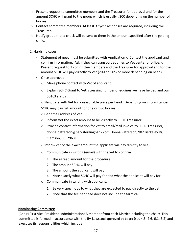- $\circ$  Present request to committee members and the Treasurer for approval and for the amount SCHC will grant to the group which is usually #300 depending on the number of horses.
- o Contact committee members. At least 3 "yes" responses are required, including the Treasurer.
- $\circ$  Notify group that a check will be sent to them in the amount specified after the gelding clinic.
- 2. Hardship cases
	- Statement of need must be submitted with Application  $\circ$  Contact the applicant and confirm information. Ask if they can transport equines to Vet center or office.  $\circ$ Present request to 3 committee members and the Treasurer for approval and for the amount SCHC will pay directly to Vet (20% to 50% or more depending on need)
	- Once approved:
		- o Make phone contact with Vet of applicant
		- o Explain SCHC Grant to Vet, stressing number of equines we have helped and our 501c3 status

o Negotiate with Vet for a reasonable price per head. Depending on circumstances SCHC may pay full amount for one or two horses.

o Get email address of Vet.

- o Inform Vet the exact amount to bill directly to SCHC Treasurer.
- o Provide contact information for vet to email/mail invoice to SCHC Treasurer, donna.patterson@parksterllingbank.com Donna Patterson, 902 Berkeley Dr, Clemson, SC 29631

o Inform Vet of the exact amount the applicant will pay directly to vet.

- o Communicate in writing (email) with the vet to confirm
	- 1. The agreed amount for the procedure
	- 2. The amount SCHC will pay
	- 3. The amount the applicant will pay
	- 4. Note exactly what SCHC will pay for and what the applicant will pay for.
- o Communicate in writing with applicant.
	- 1. Be very specific as to what they are expected to pay directly to the vet.
	- 2. Note that the fee per head does not include the farm call.

#### <span id="page-16-0"></span>**Nominating Committee**

(Chair) First Vice President- Administration; A member from each District including the chair: This committee is formed in accordance with the By-Laws and approved by board (sec 4.3, 4.6, 6.1, 6.2) and executes its responsibilities which include: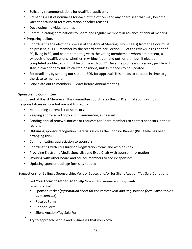- Soliciting recommendations for qualified applicants
- Preparing a list of nominees for each of the officers and any board seat that may become vacant because of term expiration or other reasons
- Developing individual profiles
- Communicating nominations to Board and regular members in advance of annual meeting
- Preparing ballots
- Coordinating the elections process at the Annual Meeting. Nominee(s) from the floor must be present, a SCHC member by the record date per Section 3.6 of the Bylaws, a resident of SC, living in SC, and be prepared to give to the voting membership whom are present, a synopsis of qualifications, whether in writing (as a hand out) or oral, but, if elected, completed profile (pg.9) must be on file with SCHC. Once the profile is on record, profile will stay in place for any future elected positions, unless it needs to be updated.
- Set deadlines by sending out slate to BOD for approval. This needs to be done in time to get the slate to members.
- Send slate out to members 30 days before Annual meeting

## <span id="page-17-0"></span>**Sponsorship Committee**

Comprised of Board Members: This committee coordinates the SCHC annual sponsorships. Responsibilities include but are not limited to:

- Maintaining current list of sponsors
- Keeping approved ad copy and disseminating as needed
- Sending annual renewal notices or requests for Board members to contact sponsors in their regions
- Obtaining sponsor recognition materials such as the Sponsor Banner (Bill Steele has been arranging this)
- Communicating appreciation to sponsors
- Coordinating with Treasurer on Registration forms and who has paid
- Providing Electronic Media Specialist and Expo Chair with sponsor information
- Working with other board and council members to secure sponsors
- Updating sponsor package forms as needed

Suggestions for Selling a Sponsorship, Vendor Space, and/or for Silent Auction/Tag Sale Donations

- 1. Get Your Forms together (go to [http://www.schorsemenscouncil.org/board](http://www.schorsemenscouncil.org/board-documents.html)[documents.html](http://www.schorsemenscouncil.org/board-documents.html) [\)](http://www.schorsemenscouncil.org/board-documents.html):
	- Sponsor Packet (*Information sheet for the correct year and Registration form which serves as a contract*)
	- Receipt Form
	- Vendor Form
	- Silent Auction/Tag Sale Form
- 2. Try to approach people and businesses that you know.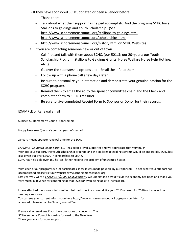- If they have sponsored SCHC, donated or been a vendor before
	- Thank them
	- Talk about what their support has helped accomplish. And the programs SCHC have Stallions to geldings and Youth Scholarship. (See <http://www.schorsemenscouncil.org/stallions-to-geldings.html> <http://www.schorsemenscouncil.org/scholarships.html>
	- <http://www.schorsemenscouncil.org/history.html> [o](http://www.schorsemenscouncil.org/history.html)n SCHC Website)
- If you are contacting someone new or out of town
	- Call first and talk with them about SCHC. (our 501c3; our 20+years; our Youth Scholarship Program; Stallions to Geldings Grants; Horse Welfare Horse Help Hotline; etc.,)
	- Go over the sponsorship options and Email the info to them.
	- Follow up with a phone call a few days later.
	- Be sure to personalize your interaction and demonstrate your genuine passion for the SCHC programs.
	- Remind them to email the ad to the sponsor committee chair, and the Check and completed form to SCHC Treasurer.
	- Be sure to give completed [Receipt Form](http://www.schorsemenscouncil.org/uploads/2/7/9/1/27916357/2014donation_receipt.pdf) to Sponsor or Donor for their records.

#### EXAMPLE of Renewal email

Subject: SC Horsemen's Council Sponsorship

Happy New Year *Sponsor's contact person's name*!

January means sponsor renewal time for the SCHC.

*EXAMPLE "Southern Eights Farm, LLC"* has been a loyal supporter and we appreciate that very much. Without your support, the youth scholarship program and the stallions to gelding's grants would be impossible. SCHC has also given out over \$3000 in scholarships to youth.

SCHC has help geld over 150 horses, father helping the problem of unwanted horses.

With each of our programs we let participates know it was made possible by our sponsors! To see what your support has accomplished please visit our websi[te www.schorsemenscouncil.org](http://www.schorsemenscouncil.org/) Last year you were a *EXAMPLE "\$1000 Gold Sponsor"*. We understand how difficult the economy has been and thank you very much in advance for continuing at that level (or even being able to increase it).

I have attached the sponsor information. Let me know if you would like your 2015 ad used for 2016 or if you will be sending a new one.

You can see your current information here <http://www.schorsemenscouncil.org/sponsors.html> for a new ad, please email to *Chair of committee*

Please call or email me if you have questions or concerns. The SC Horsemen's Council is looking forward to the New Year. Thank you again for your support.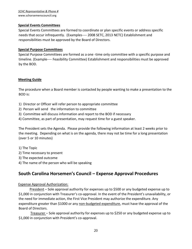#### <span id="page-19-0"></span>**Special Events Committees**

Special Events Committees are formed to coordinate or plan specific events or address specific needs that occur infrequently. (Examples---- 2008 SETC, 2013 NETC) Establishment and responsibilities must be approved by the Board of Directors.

#### <span id="page-19-1"></span>**Special Purpose Committees**

Special Purpose Committees are formed as a one -time only committee with a specific purpose and timeline. (Example---- Feasibility Committee) Establishment and responsibilities must be approved by the BOD.

#### <span id="page-19-2"></span>**Meeting Guide**

The procedure when a Board member is contacted by people wanting to make a presentation to the BOD is:

- 1) Director or Officer will refer person to appropriate committee
- 2) Person will send the information to committee
- 3) Committee will discuss information and report to the BOD if necessary
- 4) Committee, as part of presentation, may request time for a guest speaker.

The President sets the Agenda. Please provide the following information at least 2 weeks prior to the meeting. Depending on what is on the agenda, there may not be time for a long presentation (over 5 or 10 minutes)

1) The Topic 2) Time necessary to present 3) The expected outcome 4) The name of the person who will be speaking

# <span id="page-19-3"></span>**South Carolina Horsemen's Council – Expense Approval Procedures**

#### Expense Approval Authorization:

 President – Sole approval authority for expenses up to \$500 or any budgeted expense up to \$1,000 in conjunction with Treasurer's co-approval. In the event of the President's unavailability, or the need for immediate action, the First Vice President may authorize the expenditure. Any expenditure greater than \$1000 or any non-budgeted expenditure, must have the approval of the Board of Directors.

 Treasurer – Sole approval authority for expenses up to \$250 or any budgeted expense up to \$1,000 in conjunction with President's co-approval.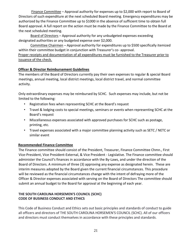Finance Committee – Approval authority for expenses up to \$2,000 with report to Board of Directors of such expenditure at the next scheduled Board meeting. Emergency expenditures may be authorized by the Finance Committee up to \$1000 in the absence of sufficient time to obtain full Board approval. A full report on the action must be made by the Finance Committee to the Board at the next scheduled meeting.

 Board of Directors – Approval authority for any unbudgeted expenses exceeding designated authorities or any budgeted expense over \$2,000.

 Committee Chairmen – Approval authority for expenditures up to \$500 specifically itemized within their committee budget in conjunction with Treasurer's co- approval.

Proper receipts and documentation of all expenditures must be furnished to the Treasurer prior to issuance of the check.

#### <span id="page-20-0"></span>**Officer & Director Reimbursement Guidelines**

The members of the Board of Directors currently pay their own expenses to regular & special Board meetings, annual meeting, local district meetings, local district travel, and normal committee activity.

Only extraordinary expenses may be reimbursed by SCHC. Such expenses may include, but not be limited to the following:

- Registration fees when representing SCHC at the Board's request
- Travel & lodging costs to special meetings, seminars or events when representing SCHC at the Board's request
- Miscellaneous expenses associated with approved purchases for SCHC such as postage, printing, etc.
- Travel expenses associated with a major committee planning activity such as SETC / NETC or similar event

#### <span id="page-20-1"></span>**Recommended Finance Committee**

The Finance committee should consist of the President, Treasurer, Finance Committee Chmn., First Vice-President, Vice President-External, & Vice President - Legislative. The Finance committee should administer the Council's finances in accordance with the By-Laws, and under the direction of the Board of Directors. A minimum of three (3) approving any expense as designated herein. These are interim measures adopted by the Board given the current financial circumstances. This procedure will be reviewed as the financial circumstances change with the intent of defraying more of the Officer & Director expenses associated with serving on the Board of Directors The committee should submit an annual budget to the Board for approval at the beginning of each year.

#### **THE SOUTH CAROLINA HORSEMEN'S COUNCIL (SCHC) CODE OF BUSINESS CONDUCT AND ETHICS**

This Code of Business Conduct and Ethics sets out basic principles and standards of conduct to guide all officers and directors of THE SOUTH CAROLINA HORSEMEN'S COUNCIL (SCHC). All of our officers and directors must conduct themselves in accordance with these principles and standards.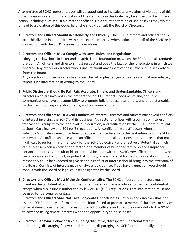A committee of SCHC representatives will be appointed to investigate any claims of violations of this Code. Those who are found in violation of the standards in this Code may be subject to disciplinary action, including dismissal. If a director or officer is in a situation that he or she believes may violate or lead to a violation of this Code, he or she should consult the Board of Directors.

**1. Directors and Officers Should Act Honestly and Ethically.** The SCHC directors and officers should act ethically and in good faith, with honesty and integrity, when acting on behalf of the SCHC or in connection with the SCHC business or operations.

#### **2. Directors and Officers Must Comply with Laws, Rules, and Regulations.**

Obeying the law, both in letter and in spirit, is the foundation on which the SCHC ethical standards are built. All officers and directors must respect and obey the laws of the jurisdictions in which we operate. Any officer or director who is unsure about any aspect of these laws should seek advice from the Board.

Any director or officer who has been convicted of or pleaded guilty to a felony must immediately report such information in writing to the Board.

- **3. Public Disclosure Should Be Full, Fair, Accurate, Timely, and Understandable**. Officers and directors who are involved in the preparation of SCHC reports, documents and/or public communications have a responsibility to promote full, fair, accurate, timely, and understandable disclosure in such reports, documents, and communications.
- **4. Directors and Officers Must Avoid Conflicts of Interest.** Directors and officers must avoid conflicts of interest involving the SCHC and its business. A director or officer with a conflict of interest transaction is subject to the approval, authorization, and ratification by the SCHC Board pursuant to South Carolina law and 501 (c) (3) regulations. A "conflict of interest" occurs when an individual's private interest interferes or appears to interfere, with the best interests of the SCHC as a whole. A conflict can arise when an officer or director takes actions or has interests that make it difficult to perform his or her work for the SCHC objectively and effectively. Potential conflicts can also arise when an officer or director, or a member of his or her family receives improper personal benefits as a result of his or her position in or with the SCHC. Any officer or director who becomes aware of a conflict, or potential conflict, or any material transaction or relationship that reasonably could be expected to give rise to a conflict of interest should bring it to the attention of the Board. Conflicts of interest may not always be clear; so, if you have a question, you should consult with the Board or legal counsel designated by the Board.
- **5. Directors and Officers Must Maintain Confidentiality.** The SCHC officers and directors must maintain the confidentiality of information entrusted or made available to them as confidential, except when disclosure is authorized by law or 501 (c) (3) regulations. That information must not be used for personal advantage.
- **6. Directors and Officers Shall Not Take Corporate Opportunities.** Officers and directors shall not use the SCHC property, information, or position if used to promote a member's business or service or self-interest over the best interest of the SCHC. Officers and directors owe a duty to the SCHC to advance its legitimate interests when the opportunity to do so arises.
- **7. Directors Behavior.** Behavior such as, being disruptive, disrespectful (personal attacks), threatening, disparaging fellow board members, disparaging the SCHC or intentionally or un-